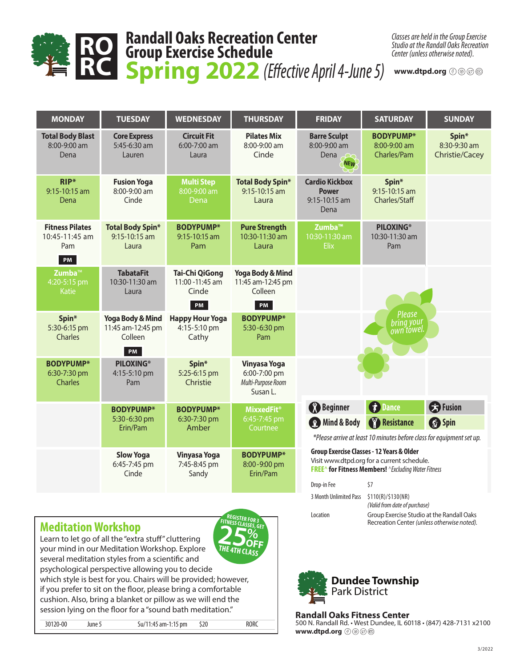

## **Randall Oaks Recreation Center Group Exercise Schedule Spring 2022** *(Effective April 4-June 5)* RC Spring 2022 (Effective April 4-June 5) www.dtpd.org

*Classes are held in the Group Exercise Studio at the Randall Oaks Recreation Center (unless otherwise noted).*

| <b>MONDAY</b>                                           | <b>TUESDAY</b>                                                    | <b>WEDNESDAY</b>                                         | <b>THURSDAY</b>                                                       | <b>FRIDAY</b>                                                                                                                                                                                  | <b>SATURDAY</b>                                                                                              | <b>SUNDAY</b>                           |
|---------------------------------------------------------|-------------------------------------------------------------------|----------------------------------------------------------|-----------------------------------------------------------------------|------------------------------------------------------------------------------------------------------------------------------------------------------------------------------------------------|--------------------------------------------------------------------------------------------------------------|-----------------------------------------|
| <b>Total Body Blast</b><br>8:00-9:00 am<br>Dena         | <b>Core Express</b><br>5:45-6:30 am<br>Lauren                     | <b>Circuit Fit</b><br>6:00-7:00 am<br>Laura              | <b>Pilates Mix</b><br>8:00-9:00 am<br>Cinde                           | <b>Barre Sculpt</b><br>8:00-9:00 am<br>Dena<br><b>NEW</b>                                                                                                                                      | <b>BODYPUMP*</b><br>8:00-9:00 am<br>Charles/Pam                                                              | Spin*<br>8:30-9:30 am<br>Christie/Cacey |
| RIP*<br>9:15-10:15 am<br>Dena                           | <b>Fusion Yoga</b><br>8:00-9:00 am<br>Cinde                       | <b>Multi Step</b><br>8:00-9:00 am<br>Dena                | <b>Total Body Spin*</b><br>9:15-10:15 am<br>Laura                     | <b>Cardio Kickbox</b><br><b>Power</b><br>$9:15 - 10:15$ am<br>Dena                                                                                                                             | Spin*<br>9:15-10:15 am<br>Charles/Staff                                                                      |                                         |
| <b>Fitness Pilates</b><br>$10:45-11:45$ am<br>Pam<br>PM | <b>Total Body Spin*</b><br>$9:15-10:15$ am<br>Laura               | <b>BODYPUMP*</b><br>9:15-10:15 am<br>Pam                 | <b>Pure Strength</b><br>10:30-11:30 am<br>Laura                       | Zumba <sup>™</sup><br>10:30-11:30 am<br><b>Elix</b>                                                                                                                                            | <b>PILOXING®</b><br>10:30-11:30 am<br>Pam                                                                    |                                         |
| Zumba <sup>™</sup><br>4:20-5:15 pm<br>Katie             | <b>TabataFit</b><br>10:30-11:30 am<br>Laura                       | <b>Tai-Chi QiGong</b><br>11:00 - 11:45 am<br>Cinde<br>PM | <b>Yoga Body &amp; Mind</b><br>11:45 am-12:45 pm<br>Colleen<br>PM     |                                                                                                                                                                                                |                                                                                                              |                                         |
| Spin*<br>5:30-6:15 pm<br><b>Charles</b>                 | <b>Yoga Body &amp; Mind</b><br>11:45 am-12:45 pm<br>Colleen<br>PM | <b>Happy Hour Yoga</b><br>4:15-5:10 pm<br>Cathy          | <b>BODYPUMP*</b><br>5:30-6:30 pm<br>Pam                               |                                                                                                                                                                                                | Please<br>bring your<br>own towel.                                                                           |                                         |
| <b>BODYPUMP*</b><br>6:30-7:30 pm<br><b>Charles</b>      | <b>PILOXING®</b><br>4:15-5:10 pm<br>Pam                           | Spin*<br>5:25-6:15 pm<br>Christie                        | <b>Vinyasa Yoga</b><br>6:00-7:00 pm<br>Multi-Purpose Room<br>Susan L. |                                                                                                                                                                                                |                                                                                                              |                                         |
|                                                         | <b>BODYPUMP*</b><br>5:30-6:30 pm<br>Erin/Pam                      | <b>BODYPUMP*</b><br>6:30-7:30 pm<br>Amber                | <b>MixxedFit<sup>®</sup></b><br>6:45-7:45 pm<br>Courtnee              | <b>Beginner</b><br><b>B</b> Mind & Body                                                                                                                                                        | <b><i>C</i></b> Dance<br>Resistance<br>*Please arrive at least 10 minutes before class for equipment set up. | <b>B</b> Fusion<br><b>Spin</b>          |
|                                                         | <b>Slow Yoga</b><br>6:45-7:45 pm<br>Cinde                         | <b>Vinyasa Yoga</b><br>7:45-8:45 pm<br>Sandy             | <b>BODYPUMP*</b><br>8:00-9:00 pm<br>Erin/Pam                          | <b>Group Exercise Classes - 12 Years &amp; Older</b><br>Visit www.dtpd.org for a current schedule.<br><b>FREE^ for Fitness Members!</b> ^ <i>Excluding Water Fitness</i><br>\$7<br>Drop-in Fee |                                                                                                              |                                         |

#### **Meditation Workshop**



Learn to let go of all the "extra stuff" cluttering your mind in our Meditation Workshop. Explore

several meditation styles from a scientific and psychological perspective allowing you to decide

which style is best for you. Chairs will be provided; however, if you prefer to sit on the floor, please bring a comfortable cushion. Also, bring a blanket or pillow as we will end the session lying on the floor for a "sound bath meditation."

30120-00 June 5 Su/11:45 am-1:15 pm \$20 RORC



3 Month Unlimited Pass \$110(R)/\$130(NR)

#### **Randall Oaks Fitness Center**  500 N. Randall Rd. • West Dundee, IL 60118 • (847) 428-7131 x2100 www.dtpd.org  $\textcircled{\scriptsize{0}}$   $\textcircled{\scriptsize{0}}$   $\textcircled{\scriptsize{0}}$

*(Valid from date of purchase)* Location Group Exercise Studio at the Randall Oaks

Recreation Center *(unless otherwise noted).*